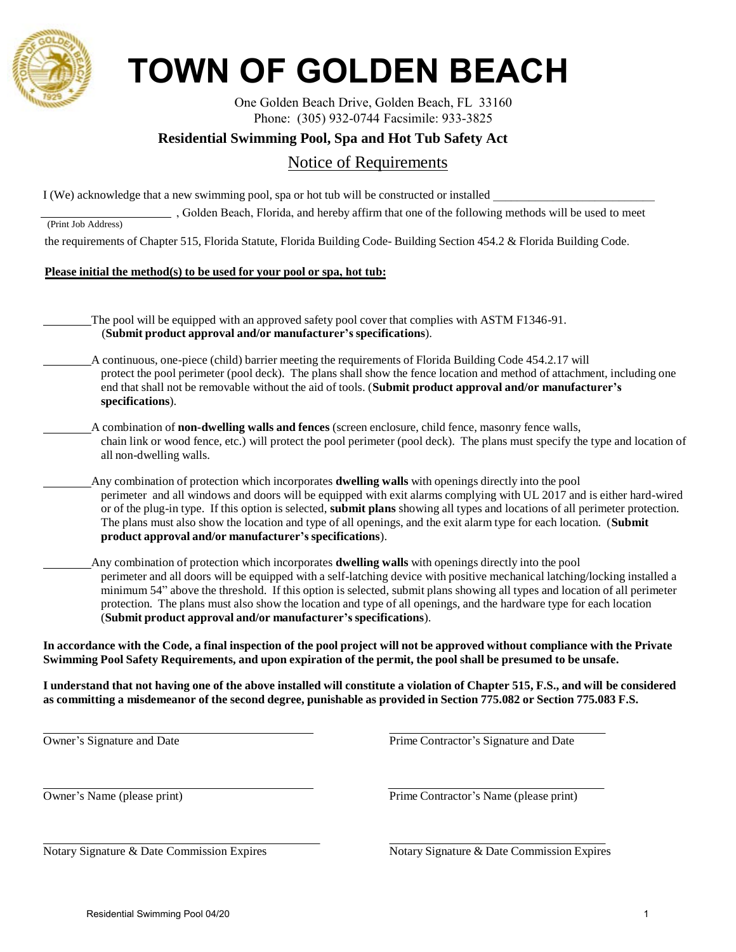

# **TOWN OF GOLDEN BEACH**

One Golden Beach Drive, Golden Beach, FL 33160 Phone: (305) 932-0744 Facsimile: 933-3825

## **Residential Swimming Pool, Spa and Hot Tub Safety Act**

# Notice of Requirements

I (We) acknowledge that a new swimming pool, spa or hot tub will be constructed or installed \_

, Golden Beach, Florida, and hereby affirm that one of the following methods will be used to meet

(Print Job Address)

the requirements of Chapter 515, Florida Statute, Florida Building Code- Building Section 454.2 & Florida Building Code.

#### **Please initial the method(s) to be used for your pool or spa, hot tub:**

The pool will be equipped with an approved safety pool cover that complies with ASTM F1346-91. (**Submit product approval and/or manufacturer's specifications**).

- A continuous, one-piece (child) barrier meeting the requirements of Florida Building Code 454.2.17 will protect the pool perimeter (pool deck). The plans shall show the fence location and method of attachment, including one end that shall not be removable without the aid of tools. (**Submit product approval and/or manufacturer's specifications**).
	- A combination of **non-dwelling walls and fences** (screen enclosure, child fence, masonry fence walls, chain link or wood fence, etc.) will protect the pool perimeter (pool deck). The plans must specify the type and location of all non-dwelling walls.
- Any combination of protection which incorporates **dwelling walls** with openings directly into the pool perimeter and all windows and doors will be equipped with exit alarms complying with UL 2017 and is either hard-wired or of the plug-in type. If this option is selected, **submit plans** showing all types and locations of all perimeter protection. The plans must also show the location and type of all openings, and the exit alarm type for each location. (**Submit product approval and/or manufacturer's specifications**).
	- Any combination of protection which incorporates **dwelling walls** with openings directly into the pool perimeter and all doors will be equipped with a self-latching device with positive mechanical latching/locking installed a minimum 54" above the threshold. If this option is selected, submit plans showing all types and location of all perimeter protection. The plans must also show the location and type of all openings, and the hardware type for each location (**Submit product approval and/or manufacturer's specifications**).

**In accordance with the Code, a final inspection of the pool project will not be approved without compliance with the Private Swimming Pool Safety Requirements, and upon expiration of the permit, the pool shall be presumed to be unsafe.**

**I understand that not having one of the above installed will constitute a violation of Chapter 515, F.S., and will be considered as committing a misdemeanor of the second degree, punishable as provided in Section 775.082 or Section 775.083 F.S.**

| Owner's Signature and Date  | Prime Contra |
|-----------------------------|--------------|
| Owner's Name (please print) | Prime Contra |

Notary Signature & Date Commission Expires Notary Signature & Date Commission Expires

ctor's Signature and Date

ctor's Name (please print)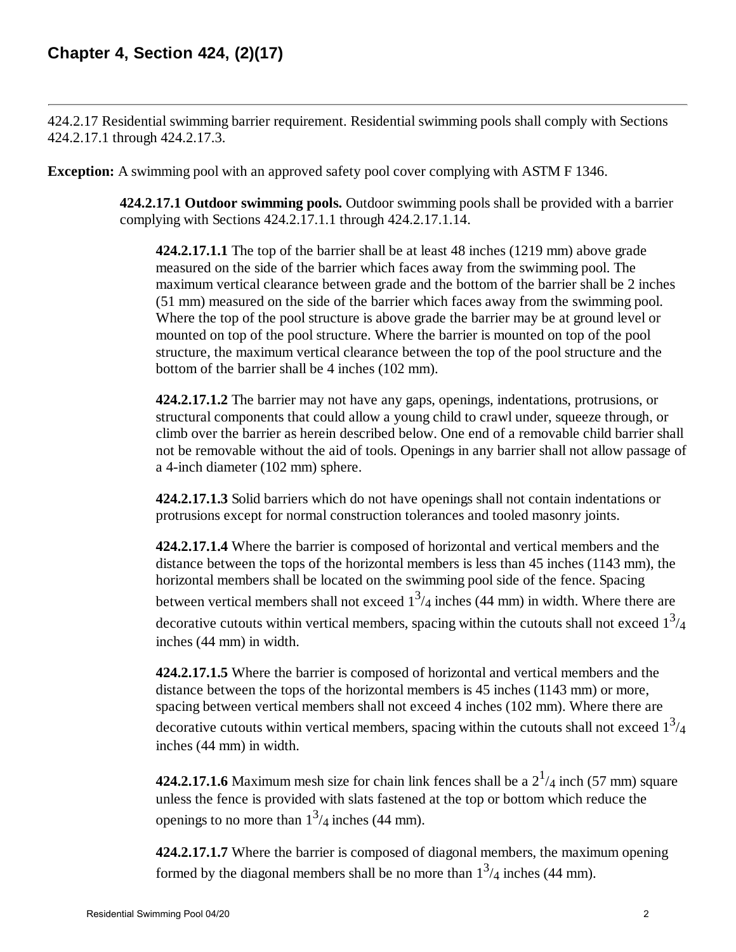424.2.17 Residential swimming barrier requirement. Residential swimming pools shall comply with Sections 424.2.17.1 through 424.2.17.3.

**Exception:** A swimming pool with an approved safety pool cover complying with ASTM F 1346.

**424.2.17.1 Outdoor swimming pools.** Outdoor swimming pools shall be provided with a barrier complying with Sections 424.2.17.1.1 through 424.2.17.1.14.

**424.2.17.1.1** The top of the barrier shall be at least 48 inches (1219 mm) above grade measured on the side of the barrier which faces away from the swimming pool. The maximum vertical clearance between grade and the bottom of the barrier shall be 2 inches (51 mm) measured on the side of the barrier which faces away from the swimming pool. Where the top of the pool structure is above grade the barrier may be at ground level or mounted on top of the pool structure. Where the barrier is mounted on top of the pool structure, the maximum vertical clearance between the top of the pool structure and the bottom of the barrier shall be 4 inches (102 mm).

**424.2.17.1.2** The barrier may not have any gaps, openings, indentations, protrusions, or structural components that could allow a young child to crawl under, squeeze through, or climb over the barrier as herein described below. One end of a removable child barrier shall not be removable without the aid of tools. Openings in any barrier shall not allow passage of a 4-inch diameter (102 mm) sphere.

**424.2.17.1.3** Solid barriers which do not have openings shall not contain indentations or protrusions except for normal construction tolerances and tooled masonry joints.

**424.2.17.1.4** Where the barrier is composed of horizontal and vertical members and the distance between the tops of the horizontal members is less than 45 inches (1143 mm), the horizontal members shall be located on the swimming pool side of the fence. Spacing between vertical members shall not exceed  $1^3/4$  inches (44 mm) in width. Where there are decorative cutouts within vertical members, spacing within the cutouts shall not exceed  $1<sup>3</sup>/4$ inches (44 mm) in width.

**424.2.17.1.5** Where the barrier is composed of horizontal and vertical members and the distance between the tops of the horizontal members is 45 inches (1143 mm) or more, spacing between vertical members shall not exceed 4 inches (102 mm). Where there are decorative cutouts within vertical members, spacing within the cutouts shall not exceed  $1<sup>3</sup>/4$ inches (44 mm) in width.

**424.2.17.1.6** Maximum mesh size for chain link fences shall be a  $2^{1/4}$  inch (57 mm) square unless the fence is provided with slats fastened at the top or bottom which reduce the openings to no more than  $1^3/4$  inches (44 mm).

**424.2.17.1.7** Where the barrier is composed of diagonal members, the maximum opening formed by the diagonal members shall be no more than  $1^3/4$  inches (44 mm).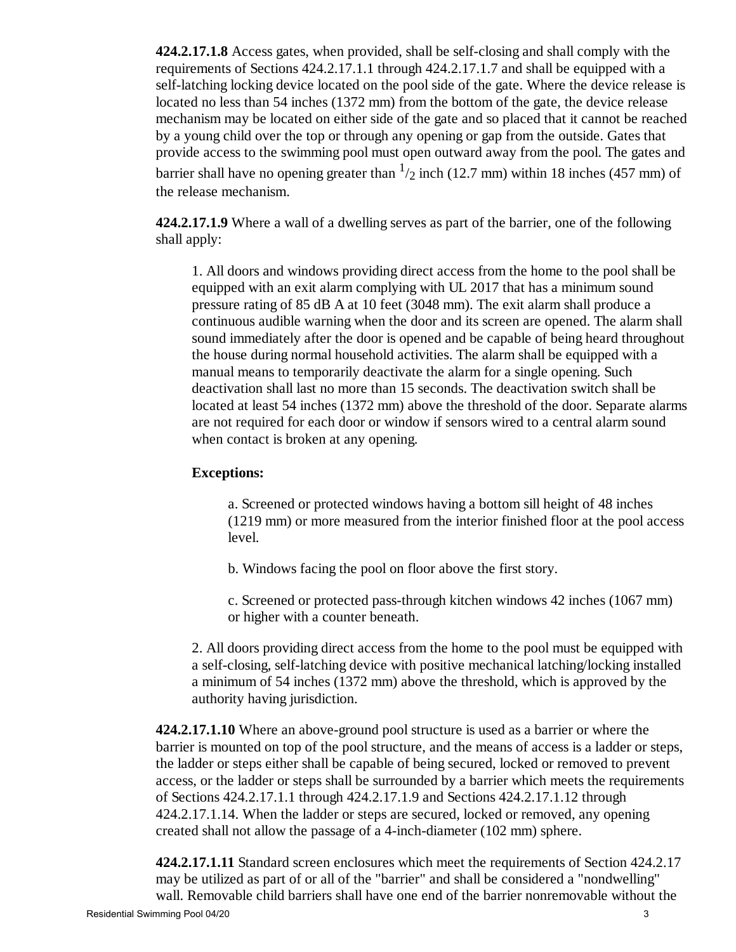**424.2.17.1.8** Access gates, when provided, shall be self-closing and shall comply with the requirements of Sections 424.2.17.1.1 through 424.2.17.1.7 and shall be equipped with a self-latching locking device located on the pool side of the gate. Where the device release is located no less than 54 inches (1372 mm) from the bottom of the gate, the device release mechanism may be located on either side of the gate and so placed that it cannot be reached by a young child over the top or through any opening or gap from the outside. Gates that provide access to the swimming pool must open outward away from the pool. The gates and barrier shall have no opening greater than  $\frac{1}{2}$  inch (12.7 mm) within 18 inches (457 mm) of the release mechanism.

**424.2.17.1.9** Where a wall of a dwelling serves as part of the barrier, one of the following shall apply:

1. All doors and windows providing direct access from the home to the pool shall be equipped with an exit alarm complying with UL 2017 that has a minimum sound pressure rating of 85 dB A at 10 feet (3048 mm). The exit alarm shall produce a continuous audible warning when the door and its screen are opened. The alarm shall sound immediately after the door is opened and be capable of being heard throughout the house during normal household activities. The alarm shall be equipped with a manual means to temporarily deactivate the alarm for a single opening. Such deactivation shall last no more than 15 seconds. The deactivation switch shall be located at least 54 inches (1372 mm) above the threshold of the door. Separate alarms are not required for each door or window if sensors wired to a central alarm sound when contact is broken at any opening.

### **Exceptions:**

a. Screened or protected windows having a bottom sill height of 48 inches (1219 mm) or more measured from the interior finished floor at the pool access level.

b. Windows facing the pool on floor above the first story.

c. Screened or protected pass-through kitchen windows 42 inches (1067 mm) or higher with a counter beneath.

2. All doors providing direct access from the home to the pool must be equipped with a self-closing, self-latching device with positive mechanical latching/locking installed a minimum of 54 inches (1372 mm) above the threshold, which is approved by the authority having jurisdiction.

**424.2.17.1.10** Where an above-ground pool structure is used as a barrier or where the barrier is mounted on top of the pool structure, and the means of access is a ladder or steps, the ladder or steps either shall be capable of being secured, locked or removed to prevent access, or the ladder or steps shall be surrounded by a barrier which meets the requirements of Sections 424.2.17.1.1 through 424.2.17.1.9 and Sections 424.2.17.1.12 through 424.2.17.1.14. When the ladder or steps are secured, locked or removed, any opening created shall not allow the passage of a 4-inch-diameter (102 mm) sphere.

**424.2.17.1.11** Standard screen enclosures which meet the requirements of Section 424.2.17 may be utilized as part of or all of the "barrier" and shall be considered a "nondwelling" wall. Removable child barriers shall have one end of the barrier nonremovable without the Residential Swimming Pool 04/20 3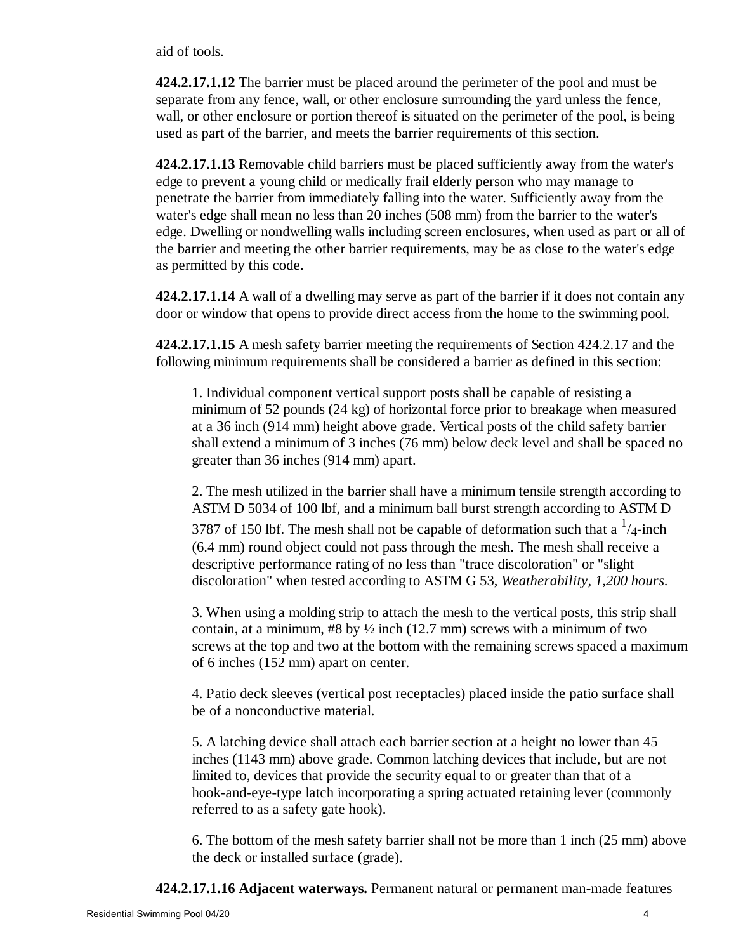aid of tools.

**424.2.17.1.12** The barrier must be placed around the perimeter of the pool and must be separate from any fence, wall, or other enclosure surrounding the yard unless the fence, wall, or other enclosure or portion thereof is situated on the perimeter of the pool, is being used as part of the barrier, and meets the barrier requirements of this section.

**424.2.17.1.13** Removable child barriers must be placed sufficiently away from the water's edge to prevent a young child or medically frail elderly person who may manage to penetrate the barrier from immediately falling into the water. Sufficiently away from the water's edge shall mean no less than 20 inches (508 mm) from the barrier to the water's edge. Dwelling or nondwelling walls including screen enclosures, when used as part or all of the barrier and meeting the other barrier requirements, may be as close to the water's edge as permitted by this code.

**424.2.17.1.14** A wall of a dwelling may serve as part of the barrier if it does not contain any door or window that opens to provide direct access from the home to the swimming pool.

**424.2.17.1.15** A mesh safety barrier meeting the requirements of Section 424.2.17 and the following minimum requirements shall be considered a barrier as defined in this section:

1. Individual component vertical support posts shall be capable of resisting a minimum of 52 pounds (24 kg) of horizontal force prior to breakage when measured at a 36 inch (914 mm) height above grade. Vertical posts of the child safety barrier shall extend a minimum of 3 inches (76 mm) below deck level and shall be spaced no greater than 36 inches (914 mm) apart.

2. The mesh utilized in the barrier shall have a minimum tensile strength according to ASTM D 5034 of 100 lbf, and a minimum ball burst strength according to ASTM D 3787 of 150 lbf. The mesh shall not be capable of deformation such that a  $\frac{1}{4}$ -inch (6.4 mm) round object could not pass through the mesh. The mesh shall receive a descriptive performance rating of no less than "trace discoloration" or "slight discoloration" when tested according to ASTM G 53, *Weatherability, 1,200 hours*.

3. When using a molding strip to attach the mesh to the vertical posts, this strip shall contain, at a minimum,  $#8$  by  $\frac{1}{2}$  inch (12.7 mm) screws with a minimum of two screws at the top and two at the bottom with the remaining screws spaced a maximum of 6 inches (152 mm) apart on center.

4. Patio deck sleeves (vertical post receptacles) placed inside the patio surface shall be of a nonconductive material.

5. A latching device shall attach each barrier section at a height no lower than 45 inches (1143 mm) above grade. Common latching devices that include, but are not limited to, devices that provide the security equal to or greater than that of a hook-and-eye-type latch incorporating a spring actuated retaining lever (commonly referred to as a safety gate hook).

6. The bottom of the mesh safety barrier shall not be more than 1 inch (25 mm) above the deck or installed surface (grade).

**424.2.17.1.16 Adjacent waterways.** Permanent natural or permanent man-made features